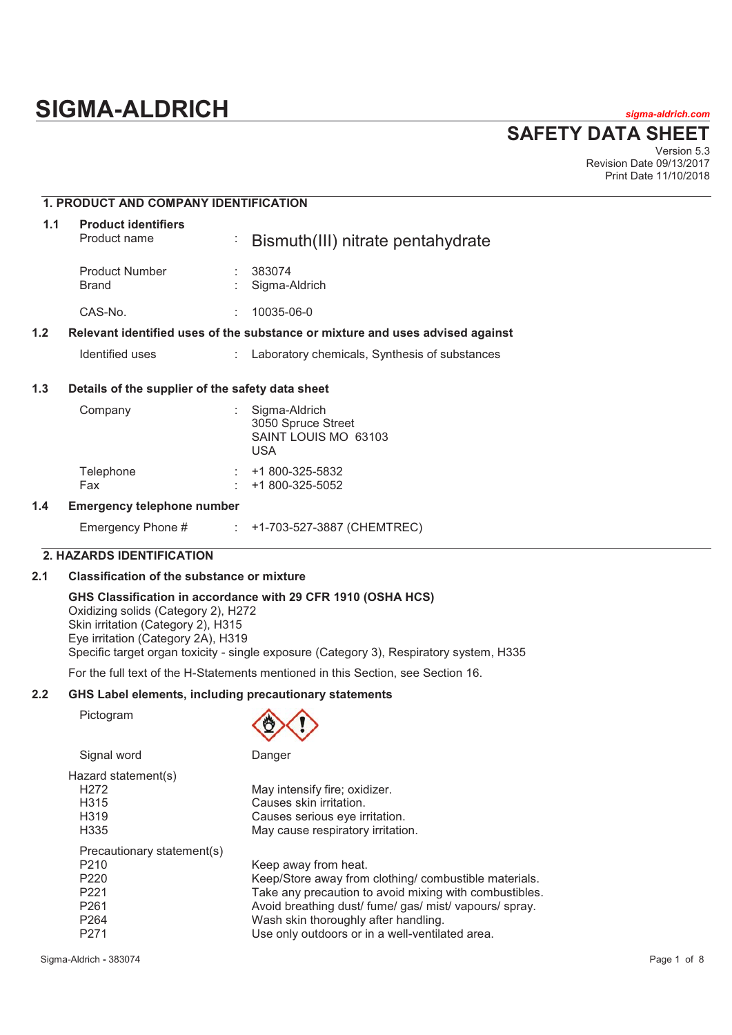# **SIGMA-ALDRICH** *sigma-aldrich.com*

# **SAFETY DATA SHEET**

Version 5.3 Revision Date 09/13/2017 Print Date 11/10/2018

# **1. PRODUCT AND COMPANY IDENTIFICATION**

| 1.1 | <b>Product identifiers</b><br>Product name       | $\sim$ | Bismuth(III) nitrate pentahydrate                                             |
|-----|--------------------------------------------------|--------|-------------------------------------------------------------------------------|
|     | <b>Product Number</b><br><b>Brand</b>            |        | 383074<br>Sigma-Aldrich                                                       |
|     | CAS-No.                                          | ÷      | 10035-06-0                                                                    |
| 1.2 |                                                  |        | Relevant identified uses of the substance or mixture and uses advised against |
|     | Identified uses                                  |        | Laboratory chemicals, Synthesis of substances                                 |
| 1.3 | Details of the supplier of the safety data sheet |        |                                                                               |
|     | Company                                          | t.     | Sigma-Aldrich<br>3050 Spruce Street<br>SAINT LOUIS MO 63103<br>$\cdots$       |

|           | USA             |
|-----------|-----------------|
| Telephone | +1 800-325-5832 |
| Fax       | +1 800-325-5052 |

# **1.4 Emergency telephone number**

| Emergency Phone # |  | +1-703-527-3887 (CHEMTREC) |  |  |
|-------------------|--|----------------------------|--|--|
|-------------------|--|----------------------------|--|--|

# **2. HAZARDS IDENTIFICATION**

### **2.1 Classification of the substance or mixture**

**GHS Classification in accordance with 29 CFR 1910 (OSHA HCS)**  Oxidizing solids (Category 2), H272 Skin irritation (Category 2), H315 Eye irritation (Category 2A), H319 Specific target organ toxicity - single exposure (Category 3), Respiratory system, H335

For the full text of the H-Statements mentioned in this Section, see Section 16.

#### **2.2 GHS Label elements, including precautionary statements**

Pictogram



| Signal word                | Danger                                                 |
|----------------------------|--------------------------------------------------------|
| Hazard statement(s)        |                                                        |
| H <sub>2</sub> 72          | May intensify fire; oxidizer.                          |
| H <sub>3</sub> 15          | Causes skin irritation.                                |
| H <sub>319</sub>           | Causes serious eye irritation.                         |
| H335                       | May cause respiratory irritation.                      |
| Precautionary statement(s) |                                                        |
| P <sub>210</sub>           | Keep away from heat.                                   |
| P <sub>220</sub>           | Keep/Store away from clothing/ combustible materials.  |
| P <sub>221</sub>           | Take any precaution to avoid mixing with combustibles. |
| P <sub>261</sub>           | Avoid breathing dust/ fume/ gas/ mist/ vapours/ spray. |
| P <sub>264</sub>           | Wash skin thoroughly after handling.                   |
| P <sub>271</sub>           | Use only outdoors or in a well-ventilated area.        |
|                            |                                                        |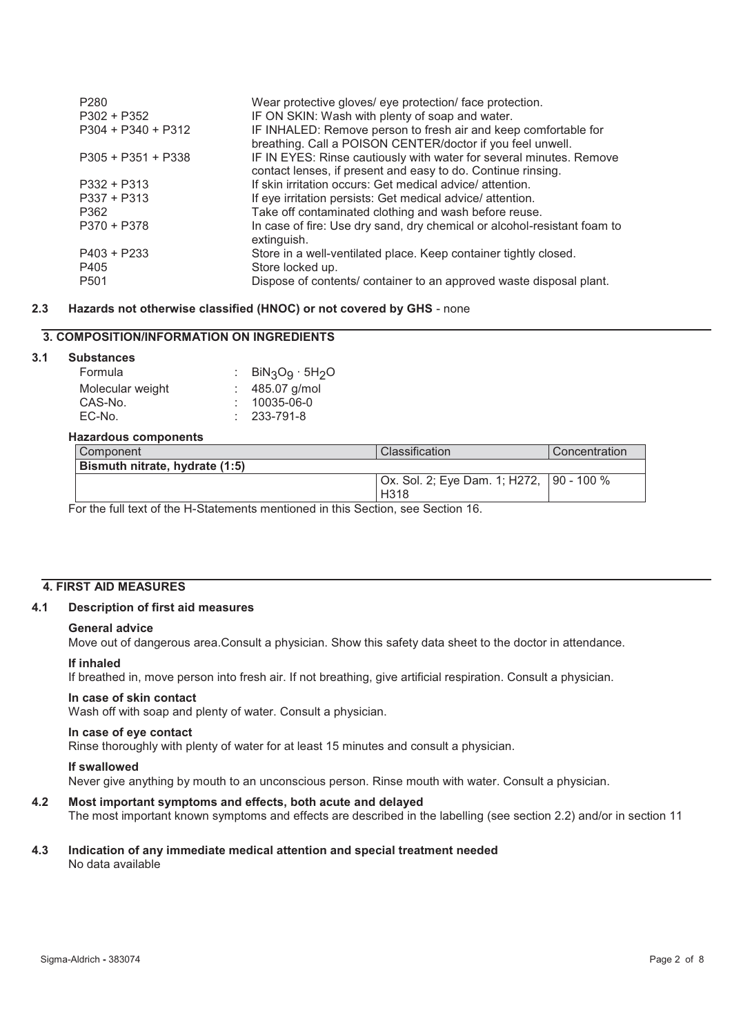| P <sub>280</sub><br>$P302 + P352$ | Wear protective gloves/ eye protection/ face protection.<br>IF ON SKIN: Wash with plenty of soap and water.                         |
|-----------------------------------|-------------------------------------------------------------------------------------------------------------------------------------|
| $P304 + P340 + P312$              | IF INHALED: Remove person to fresh air and keep comfortable for<br>breathing. Call a POISON CENTER/doctor if you feel unwell.       |
| $P305 + P351 + P338$              | IF IN EYES: Rinse cautiously with water for several minutes. Remove<br>contact lenses, if present and easy to do. Continue rinsing. |
| $P332 + P313$                     | If skin irritation occurs: Get medical advice/attention.                                                                            |
| $P337 + P313$                     | If eye irritation persists: Get medical advice/attention.                                                                           |
| P362                              | Take off contaminated clothing and wash before reuse.                                                                               |
| $P370 + P378$                     | In case of fire: Use dry sand, dry chemical or alcohol-resistant foam to<br>extinguish.                                             |
| $P403 + P233$                     | Store in a well-ventilated place. Keep container tightly closed.                                                                    |
| P405                              | Store locked up.                                                                                                                    |
| P <sub>501</sub>                  | Dispose of contents/ container to an approved waste disposal plant.                                                                 |

#### **2.3 Hazards not otherwise classified (HNOC) or not covered by GHS** - none

# **3. COMPOSITION/INFORMATION ON INGREDIENTS**

# **3.1 Substances**

| Formula          | : $BiN_3O_9 \cdot 5H_2O$ |
|------------------|--------------------------|
| Molecular weight | $: 485.07$ g/mol         |
| CAS-No.          | $: 10035-06-0$           |
| EC-No.           | $: 233 - 791 - 8$        |
|                  |                          |

#### **Hazardous components**

| Bismuth nitrate, hydrate (1:5)<br>Ox. Sol. 2; Eye Dam. 1; H272, 190 - 100 % | Component | Classification | Concentration |
|-----------------------------------------------------------------------------|-----------|----------------|---------------|
|                                                                             |           |                |               |
|                                                                             |           |                |               |
| H318                                                                        |           |                |               |

For the full text of the H-Statements mentioned in this Section, see Section 16.

# **4. FIRST AID MEASURES**

#### **4.1 Description of first aid measures**

#### **General advice**

Move out of dangerous area.Consult a physician. Show this safety data sheet to the doctor in attendance.

#### **If inhaled**

If breathed in, move person into fresh air. If not breathing, give artificial respiration. Consult a physician.

#### **In case of skin contact**

Wash off with soap and plenty of water. Consult a physician.

#### **In case of eye contact**

Rinse thoroughly with plenty of water for at least 15 minutes and consult a physician.

#### **If swallowed**

Never give anything by mouth to an unconscious person. Rinse mouth with water. Consult a physician.

### **4.2 Most important symptoms and effects, both acute and delayed**

The most important known symptoms and effects are described in the labelling (see section 2.2) and/or in section 11

#### **4.3 Indication of any immediate medical attention and special treatment needed**  No data available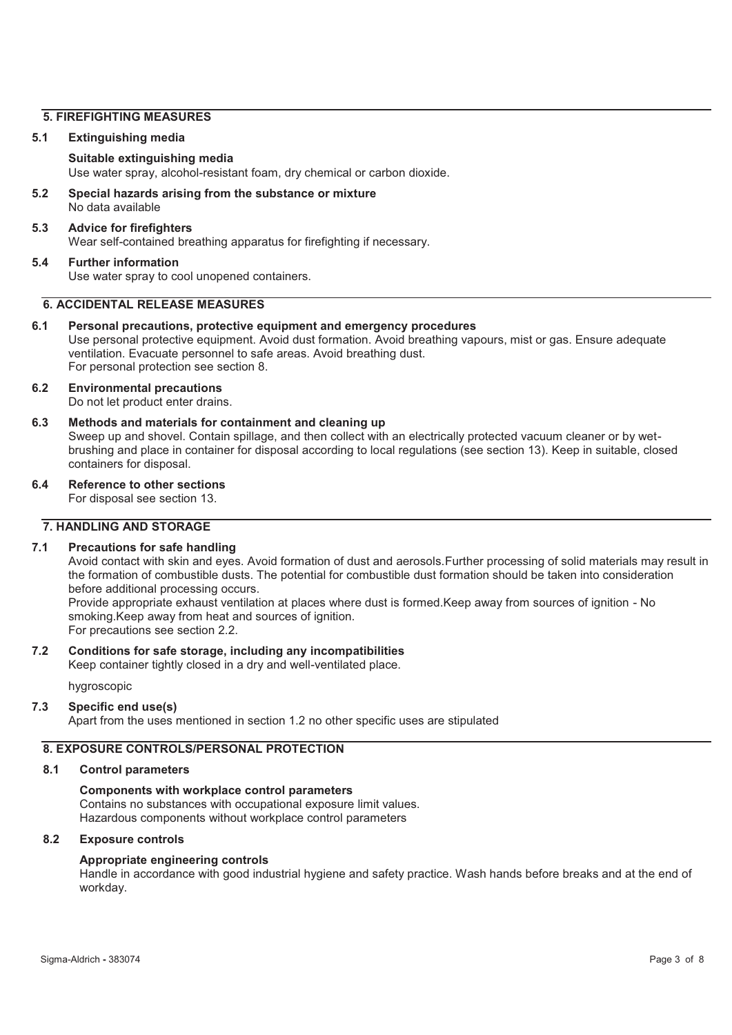#### **5. FIREFIGHTING MEASURES**

#### **5.1 Extinguishing media**

#### **Suitable extinguishing media**

Use water spray, alcohol-resistant foam, dry chemical or carbon dioxide.

**5.2 Special hazards arising from the substance or mixture**  No data available

#### **5.3 Advice for firefighters**

Wear self-contained breathing apparatus for firefighting if necessary.

#### **5.4 Further information**

Use water spray to cool unopened containers.

# **6. ACCIDENTAL RELEASE MEASURES**

#### **6.1 Personal precautions, protective equipment and emergency procedures**

Use personal protective equipment. Avoid dust formation. Avoid breathing vapours, mist or gas. Ensure adequate ventilation. Evacuate personnel to safe areas. Avoid breathing dust. For personal protection see section 8.

#### **6.2 Environmental precautions**  Do not let product enter drains.

**6.3 Methods and materials for containment and cleaning up**  Sweep up and shovel. Contain spillage, and then collect with an electrically protected vacuum cleaner or by wetbrushing and place in container for disposal according to local regulations (see section 13). Keep in suitable, closed containers for disposal.

**6.4 Reference to other sections** 

For disposal see section 13.

# **7. HANDLING AND STORAGE**

#### **7.1 Precautions for safe handling**

Avoid contact with skin and eyes. Avoid formation of dust and aerosols.Further processing of solid materials may result in the formation of combustible dusts. The potential for combustible dust formation should be taken into consideration before additional processing occurs.

Provide appropriate exhaust ventilation at places where dust is formed.Keep away from sources of ignition - No smoking.Keep away from heat and sources of ignition. For precautions see section 2.2.

# **7.2 Conditions for safe storage, including any incompatibilities**

Keep container tightly closed in a dry and well-ventilated place.

hygroscopic

#### **7.3 Specific end use(s)**

Apart from the uses mentioned in section 1.2 no other specific uses are stipulated

# **8. EXPOSURE CONTROLS/PERSONAL PROTECTION**

#### **8.1 Control parameters**

#### **Components with workplace control parameters**  Contains no substances with occupational exposure limit values. Hazardous components without workplace control parameters

#### **8.2 Exposure controls**

#### **Appropriate engineering controls**

Handle in accordance with good industrial hygiene and safety practice. Wash hands before breaks and at the end of workday.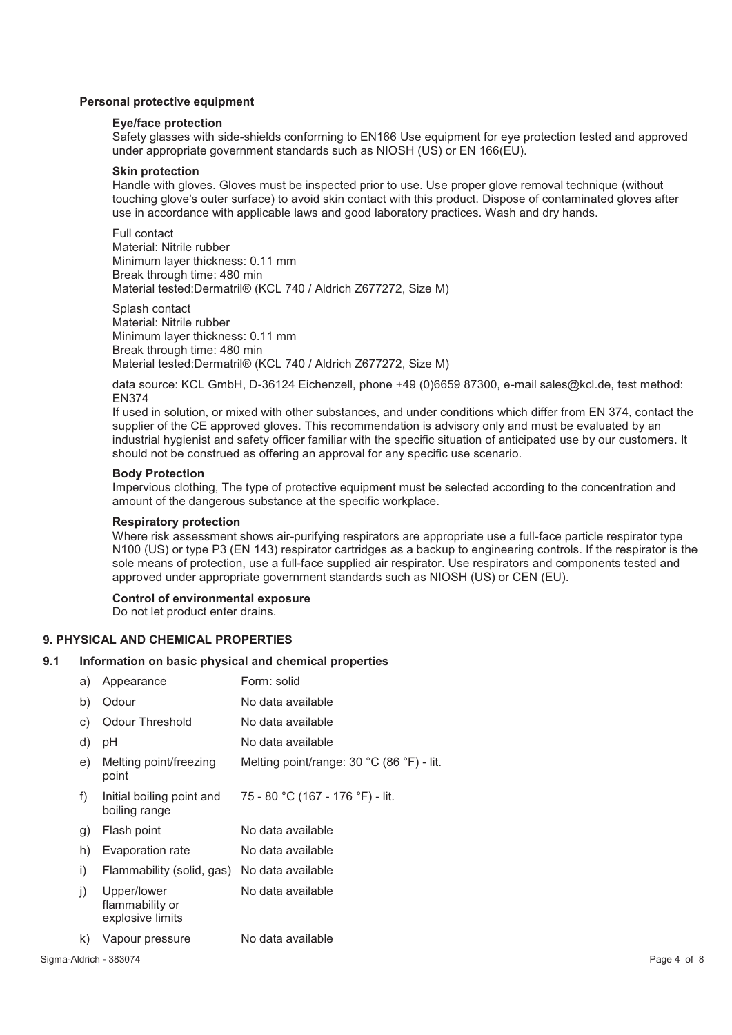#### **Personal protective equipment**

#### **Eye/face protection**

Safety glasses with side-shields conforming to EN166 Use equipment for eye protection tested and approved under appropriate government standards such as NIOSH (US) or EN 166(EU).

# **Skin protection**

Handle with gloves. Gloves must be inspected prior to use. Use proper glove removal technique (without touching glove's outer surface) to avoid skin contact with this product. Dispose of contaminated gloves after use in accordance with applicable laws and good laboratory practices. Wash and dry hands.

Full contact Material: Nitrile rubber Minimum layer thickness: 0.11 mm Break through time: 480 min Material tested:Dermatril® (KCL 740 / Aldrich Z677272, Size M)

Splash contact Material: Nitrile rubber Minimum layer thickness: 0.11 mm Break through time: 480 min Material tested:Dermatril® (KCL 740 / Aldrich Z677272, Size M)

data source: KCL GmbH, D-36124 Eichenzell, phone +49 (0)6659 87300, e-mail sales@kcl.de, test method: EN374

If used in solution, or mixed with other substances, and under conditions which differ from EN 374, contact the supplier of the CE approved gloves. This recommendation is advisory only and must be evaluated by an industrial hygienist and safety officer familiar with the specific situation of anticipated use by our customers. It should not be construed as offering an approval for any specific use scenario.

#### **Body Protection**

Impervious clothing, The type of protective equipment must be selected according to the concentration and amount of the dangerous substance at the specific workplace.

#### **Respiratory protection**

Where risk assessment shows air-purifying respirators are appropriate use a full-face particle respirator type N100 (US) or type P3 (EN 143) respirator cartridges as a backup to engineering controls. If the respirator is the sole means of protection, use a full-face supplied air respirator. Use respirators and components tested and approved under appropriate government standards such as NIOSH (US) or CEN (EU).

#### **Control of environmental exposure**

Do not let product enter drains.

# **9. PHYSICAL AND CHEMICAL PROPERTIES**

#### **9.1 Information on basic physical and chemical properties**

| a) | Appearance                                         | Form: solid                               |
|----|----------------------------------------------------|-------------------------------------------|
| b) | Odour                                              | No data available                         |
| C) | <b>Odour Threshold</b>                             | No data available                         |
| d) | рH                                                 | No data available                         |
| e) | Melting point/freezing<br>point                    | Melting point/range: 30 °C (86 °F) - lit. |
| f) | Initial boiling point and<br>boiling range         | 75 - 80 °C (167 - 176 °F) - lit.          |
| g) | Flash point                                        | No data available                         |
| h) | Evaporation rate                                   | No data available                         |
| i) | Flammability (solid, gas)                          | No data available                         |
| j) | Upper/lower<br>flammability or<br>explosive limits | No data available                         |
| k) | Vapour pressure                                    | No data available                         |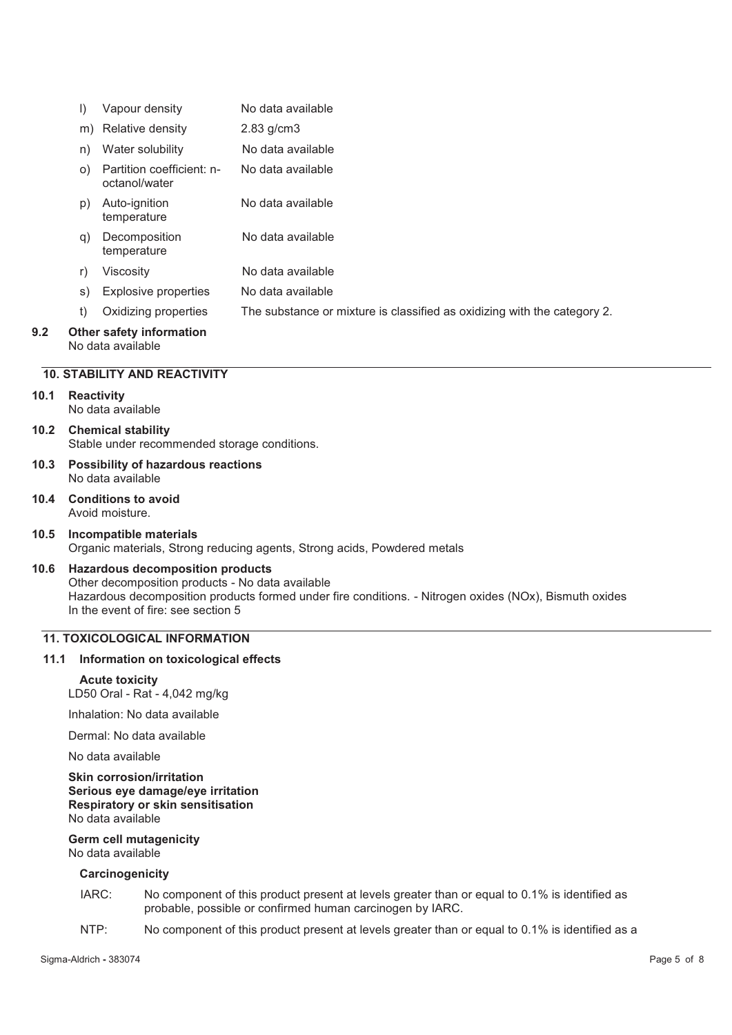|     | I)        | Vapour density                                       | No data available                                                        |
|-----|-----------|------------------------------------------------------|--------------------------------------------------------------------------|
|     | m)        | Relative density                                     | $2.83$ g/cm $3$                                                          |
|     | n)        | Water solubility                                     | No data available                                                        |
|     | $\circ$ ) | Partition coefficient: n-<br>octanol/water           | No data available                                                        |
|     | p)        | Auto-ignition<br>temperature                         | No data available                                                        |
|     | q)        | Decomposition<br>temperature                         | No data available                                                        |
|     | r)        | Viscosity                                            | No data available                                                        |
|     | s)        | <b>Explosive properties</b>                          | No data available                                                        |
|     | t)        | Oxidizing properties                                 | The substance or mixture is classified as oxidizing with the category 2. |
| 9.2 |           | <b>Other safety information</b><br>No data available |                                                                          |

#### **10. STABILITY AND REACTIVITY**

#### **10.1 Reactivity**

No data available

- **10.2 Chemical stability**  Stable under recommended storage conditions.
- **10.3 Possibility of hazardous reactions**  No data available
- **10.4 Conditions to avoid**  Avoid moisture.
- **10.5 Incompatible materials**  Organic materials, Strong reducing agents, Strong acids, Powdered metals

# **10.6 Hazardous decomposition products**

Other decomposition products - No data available Hazardous decomposition products formed under fire conditions. - Nitrogen oxides (NOx), Bismuth oxides In the event of fire: see section 5

# **11. TOXICOLOGICAL INFORMATION**

#### **11.1 Information on toxicological effects**

#### **Acute toxicity**

LD50 Oral - Rat - 4,042 mg/kg

Inhalation: No data available

Dermal: No data available

No data available

#### **Skin corrosion/irritation Serious eye damage/eye irritation Respiratory or skin sensitisation**  No data available

#### **Germ cell mutagenicity**  No data available

# **Carcinogenicity**

- IARC: No component of this product present at levels greater than or equal to 0.1% is identified as probable, possible or confirmed human carcinogen by IARC.
- NTP: No component of this product present at levels greater than or equal to 0.1% is identified as a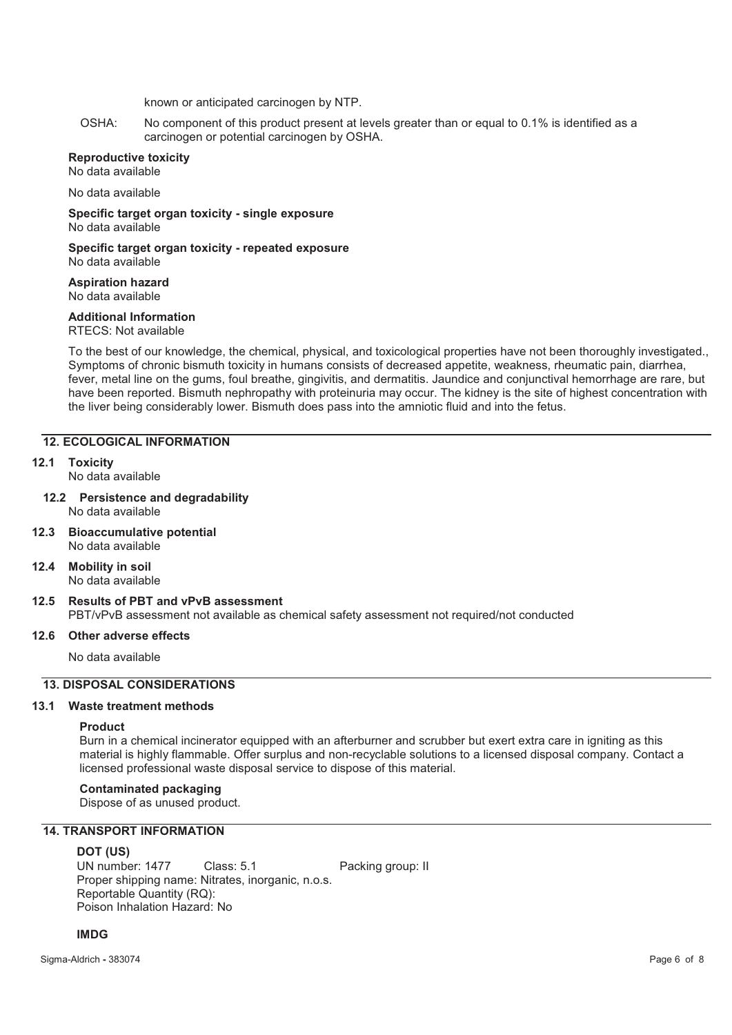known or anticipated carcinogen by NTP.

OSHA: No component of this product present at levels greater than or equal to 0.1% is identified as a carcinogen or potential carcinogen by OSHA.

#### **Reproductive toxicity**

No data available

No data available

**Specific target organ toxicity - single exposure**  No data available

**Specific target organ toxicity - repeated exposure** 

No data available

#### **Aspiration hazard**  No data available

## **Additional Information**

RTECS: Not available

To the best of our knowledge, the chemical, physical, and toxicological properties have not been thoroughly investigated., Symptoms of chronic bismuth toxicity in humans consists of decreased appetite, weakness, rheumatic pain, diarrhea, fever, metal line on the gums, foul breathe, gingivitis, and dermatitis. Jaundice and conjunctival hemorrhage are rare, but have been reported. Bismuth nephropathy with proteinuria may occur. The kidney is the site of highest concentration with the liver being considerably lower. Bismuth does pass into the amniotic fluid and into the fetus.

## **12. ECOLOGICAL INFORMATION**

**12.1 Toxicity** 

No data available

- **12.2 Persistence and degradability**  No data available
- **12.3 Bioaccumulative potential**  No data available
- **12.4 Mobility in soil**  No data available
- **12.5 Results of PBT and vPvB assessment**

PBT/vPvB assessment not available as chemical safety assessment not required/not conducted

#### **12.6 Other adverse effects**

No data available

# **13. DISPOSAL CONSIDERATIONS**

#### **13.1 Waste treatment methods**

#### **Product**

Burn in a chemical incinerator equipped with an afterburner and scrubber but exert extra care in igniting as this material is highly flammable. Offer surplus and non-recyclable solutions to a licensed disposal company. Contact a licensed professional waste disposal service to dispose of this material.

#### **Contaminated packaging**

Dispose of as unused product.

# **14. TRANSPORT INFORMATION**

**DOT (US)**<br> **UN** number: 1477 Class: 5.1 Packing group: II Proper shipping name: Nitrates, inorganic, n.o.s. Reportable Quantity (RQ): Poison Inhalation Hazard: No

#### **IMDG**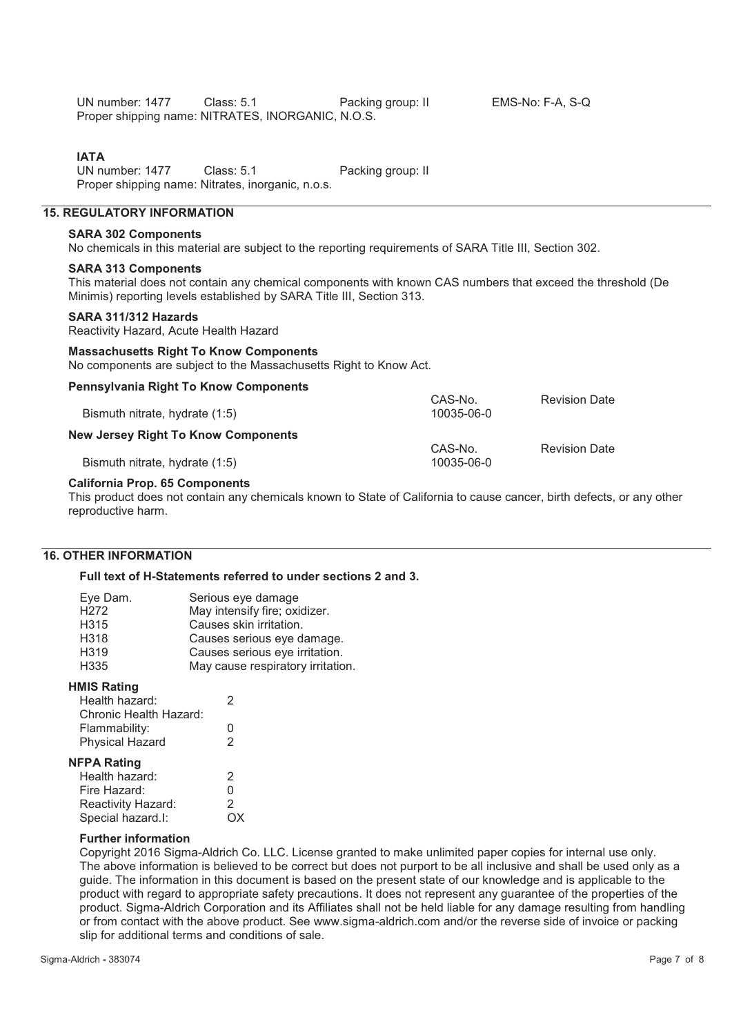UN number: 1477 Class: 5.1 Packing group: II EMS-No: F-A, S-Q Proper shipping name: NITRATES, INORGANIC, N.O.S.

**IATA**<br>UN number: 1477 Class: 5.1 Packing group: II Proper shipping name: Nitrates, inorganic, n.o.s.

# **15. REGULATORY INFORMATION**

# **SARA 302 Components**

No chemicals in this material are subject to the reporting requirements of SARA Title III, Section 302.

#### **SARA 313 Components**

This material does not contain any chemical components with known CAS numbers that exceed the threshold (De Minimis) reporting levels established by SARA Title III, Section 313.

#### **SARA 311/312 Hazards**

Reactivity Hazard, Acute Health Hazard

#### **Massachusetts Right To Know Components**

**Pennsylvania Right To Know Components** 

No components are subject to the Massachusetts Right to Know Act.

| i chnovivalna rugnu i o rulow oomponchto | CAS-No.    | <b>Revision Date</b> |
|------------------------------------------|------------|----------------------|
| Bismuth nitrate, hydrate (1:5)           | 10035-06-0 |                      |
| New Jersey Right To Know Components      |            |                      |
|                                          | CAS-No.    | <b>Revision Date</b> |
| Bismuth nitrate, hydrate (1:5)           | 10035-06-0 |                      |

#### **California Prop. 65 Components**

This product does not contain any chemicals known to State of California to cause cancer, birth defects, or any other reproductive harm.

#### **16. OTHER INFORMATION**

#### **Full text of H-Statements referred to under sections 2 and 3.**

| Serious eye damage                |
|-----------------------------------|
| May intensify fire; oxidizer.     |
| Causes skin irritation.           |
| Causes serious eye damage.        |
| Causes serious eye irritation.    |
| May cause respiratory irritation. |
|                                   |

#### **HMIS Rating**

| Health hazard:         | ッ |  |
|------------------------|---|--|
| Chronic Health Hazard: |   |  |
| Flammability:          | O |  |
| <b>Physical Hazard</b> | 2 |  |
| <b>NFPA Rating</b>     |   |  |

| Health hazard:     | 2  |
|--------------------|----|
| Fire Hazard:       | U  |
| Reactivity Hazard: | 2  |
| Special hazard.I:  | OX |

#### **Further information**

Copyright 2016 Sigma-Aldrich Co. LLC. License granted to make unlimited paper copies for internal use only. The above information is believed to be correct but does not purport to be all inclusive and shall be used only as a guide. The information in this document is based on the present state of our knowledge and is applicable to the product with regard to appropriate safety precautions. It does not represent any guarantee of the properties of the product. Sigma-Aldrich Corporation and its Affiliates shall not be held liable for any damage resulting from handling or from contact with the above product. See www.sigma-aldrich.com and/or the reverse side of invoice or packing slip for additional terms and conditions of sale.